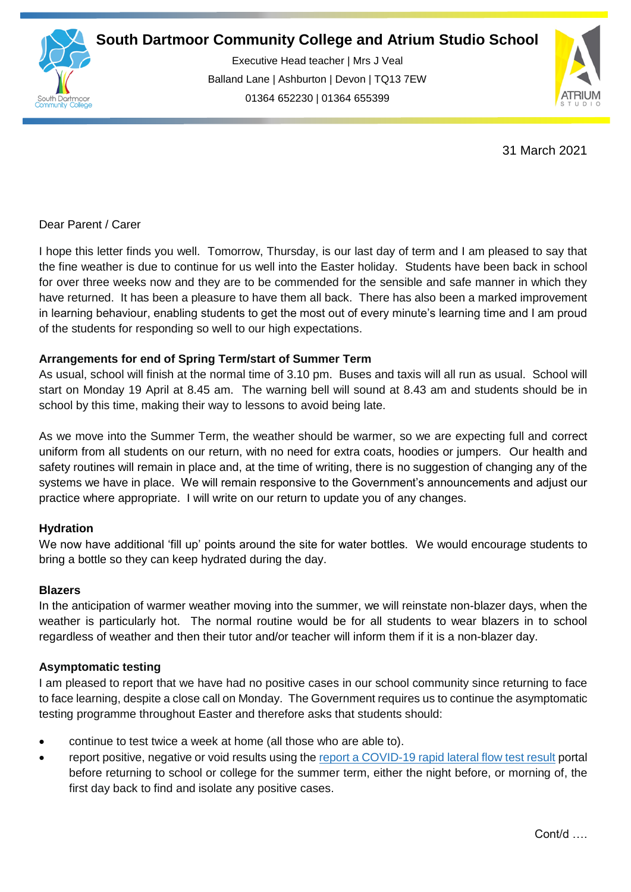

Executive Head teacher | Mrs J Veal Balland Lane | Ashburton | Devon | TQ13 7EW 01364 652230 | 01364 655399

ww.south.co.uk | [www.atrium-studio.co.uk](http://www.atrium-studio.co.uk/) | www.atrium-studio.co.uk



31 March 2021

### Dear Parent / Carer

I hope this letter finds you well. Tomorrow, Thursday, is our last day of term and I am pleased to say that the fine weather is due to continue for us well into the Easter holiday. Students have been back in school for over three weeks now and they are to be commended for the sensible and safe manner in which they have returned. It has been a pleasure to have them all back. There has also been a marked improvement in learning behaviour, enabling students to get the most out of every minute's learning time and I am proud of the students for responding so well to our high expectations.

## **Arrangements for end of Spring Term/start of Summer Term**

As usual, school will finish at the normal time of 3.10 pm. Buses and taxis will all run as usual. School will start on Monday 19 April at 8.45 am. The warning bell will sound at 8.43 am and students should be in school by this time, making their way to lessons to avoid being late.

As we move into the Summer Term, the weather should be warmer, so we are expecting full and correct uniform from all students on our return, with no need for extra coats, hoodies or jumpers. Our health and safety routines will remain in place and, at the time of writing, there is no suggestion of changing any of the systems we have in place. We will remain responsive to the Government's announcements and adjust our practice where appropriate. I will write on our return to update you of any changes.

# **Hydration**

We now have additional 'fill up' points around the site for water bottles. We would encourage students to bring a bottle so they can keep hydrated during the day.

### **Blazers**

In the anticipation of warmer weather moving into the summer, we will reinstate non-blazer days, when the weather is particularly hot. The normal routine would be for all students to wear blazers in to school regardless of weather and then their tutor and/or teacher will inform them if it is a non-blazer day.

### **Asymptomatic testing**

I am pleased to report that we have had no positive cases in our school community since returning to face to face learning, despite a close call on Monday. The Government requires us to continue the asymptomatic testing programme throughout Easter and therefore asks that students should:

- continue to test twice a week at home (all those who are able to).
- report positive, negative or void results using the [report a COVID-19 rapid lateral flow test result](https://www.gov.uk/report-covid19-result?utm_source=26%20March%202021%20C19&utm_medium=Daily%20Email%20C19&utm_campaign=DfE%20C19) portal before returning to school or college for the summer term, either the night before, or morning of, the first day back to find and isolate any positive cases.